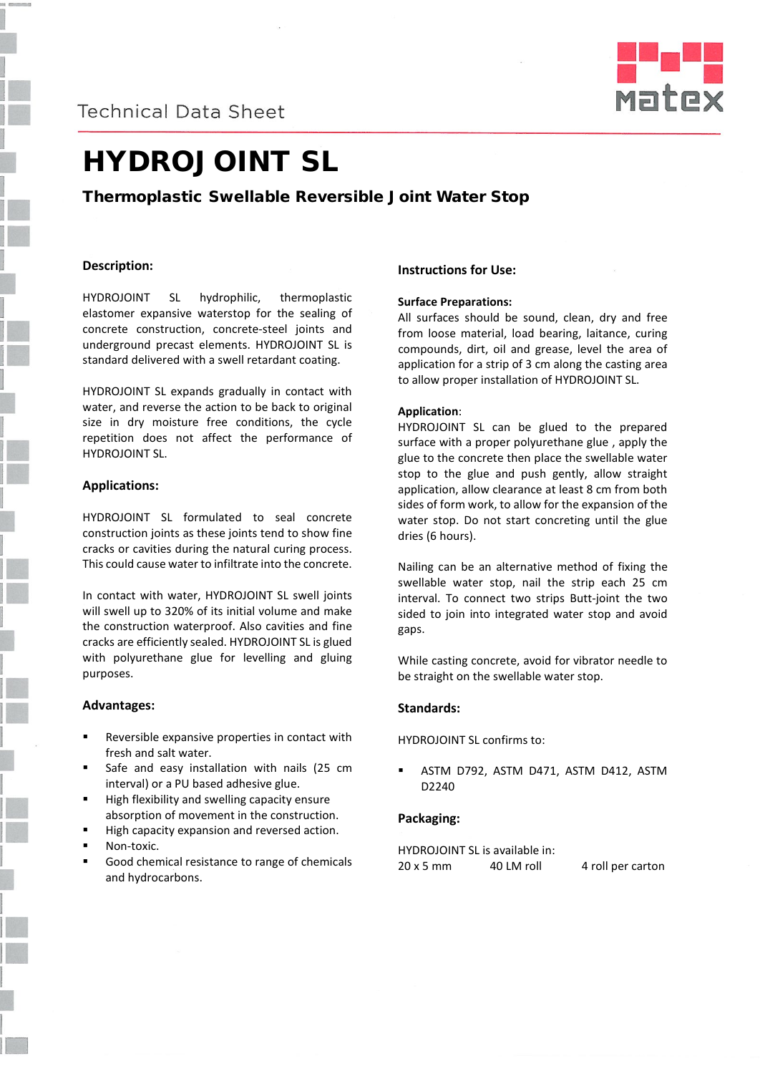## **Technical Data Sheet**



# HYDROJOINT SL

### Thermoplastic Swellable Reversible Joint Water Stop

#### **Description:**

HYDROJOINT SL hydrophilic, thermoplastic elastomer expansive waterstop for the sealing of concrete construction, concrete-steel joints and underground precast elements. HYDROJOINT SL is standard delivered with a swell retardant coating.

HYDROJOINT SL expands gradually in contact with water, and reverse the action to be back to original size in dry moisture free conditions, the cycle repetition does not affect the performance of HYDROJOINT SL.

#### **Applications:**

HYDROJOINT SL formulated to seal concrete construction joints as these joints tend to show fine cracks or cavities during the natural curing process. This could cause water to infiltrate into the concrete.

In contact with water, HYDROJOINT SL swell joints will swell up to 320% of its initial volume and make the construction waterproof. Also cavities and fine cracks are efficiently sealed. HYDROJOINT SL is glued with polyurethane glue for levelling and gluing purposes.

#### **Advantages:**

- Reversible expansive properties in contact with fresh and salt water.
- Safe and easy installation with nails (25 cm interval) or a PU based adhesive glue.
- High flexibility and swelling capacity ensure absorption of movement in the construction.
- High capacity expansion and reversed action.
- Non-toxic.
- Good chemical resistance to range of chemicals and hydrocarbons.

#### **Instructions for Use:**

#### **Surface Preparations:**

All surfaces should be sound, clean, dry and free from loose material, load bearing, laitance, curing compounds, dirt, oil and grease, level the area of application for a strip of 3 cm along the casting area to allow proper installation of HYDROJOINT SL.

#### **Application**:

HYDROJOINT SL can be glued to the prepared surface with a proper polyurethane glue , apply the glue to the concrete then place the swellable water stop to the glue and push gently, allow straight application, allow clearance at least 8 cm from both sides of form work, to allow for the expansion of the water stop. Do not start concreting until the glue dries (6 hours).

Nailing can be an alternative method of fixing the swellable water stop, nail the strip each 25 cm interval. To connect two strips Butt-joint the two sided to join into integrated water stop and avoid gaps.

While casting concrete, avoid for vibrator needle to be straight on the swellable water stop.

#### **Standards:**

HYDROJOINT SL confirms to:

 ASTM D792, ASTM D471, ASTM D412, ASTM D2240

#### **Packaging:**

HYDROJOINT SL is available in:  $20 \times 5$  mm  $40$  LM roll  $4$  roll per carton